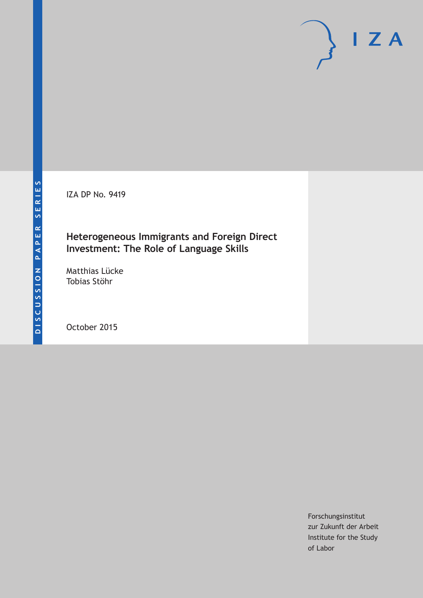IZA DP No. 9419

## **Heterogeneous Immigrants and Foreign Direct Investment: The Role of Language Skills**

Matthias Lücke Tobias Stöhr

October 2015

Forschungsinstitut zur Zukunft der Arbeit Institute for the Study of Labor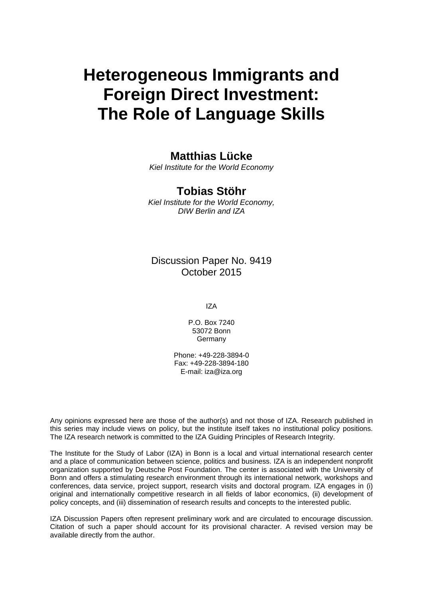# **Heterogeneous Immigrants and Foreign Direct Investment: The Role of Language Skills**

## **Matthias Lücke**

*Kiel Institute for the World Economy* 

## **Tobias Stöhr**

*Kiel Institute for the World Economy, DIW Berlin and IZA* 

Discussion Paper No. 9419 October 2015

IZA

P.O. Box 7240 53072 Bonn **Germany** 

Phone: +49-228-3894-0 Fax: +49-228-3894-180 E-mail: iza@iza.org

Any opinions expressed here are those of the author(s) and not those of IZA. Research published in this series may include views on policy, but the institute itself takes no institutional policy positions. The IZA research network is committed to the IZA Guiding Principles of Research Integrity.

The Institute for the Study of Labor (IZA) in Bonn is a local and virtual international research center and a place of communication between science, politics and business. IZA is an independent nonprofit organization supported by Deutsche Post Foundation. The center is associated with the University of Bonn and offers a stimulating research environment through its international network, workshops and conferences, data service, project support, research visits and doctoral program. IZA engages in (i) original and internationally competitive research in all fields of labor economics, (ii) development of policy concepts, and (iii) dissemination of research results and concepts to the interested public.

IZA Discussion Papers often represent preliminary work and are circulated to encourage discussion. Citation of such a paper should account for its provisional character. A revised version may be available directly from the author.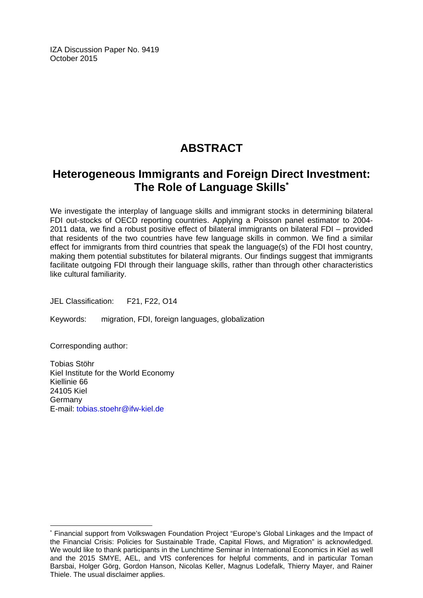IZA Discussion Paper No. 9419 October 2015

## **ABSTRACT**

## **Heterogeneous Immigrants and Foreign Direct Investment: The Role of Language Skills\***

We investigate the interplay of language skills and immigrant stocks in determining bilateral FDI out-stocks of OECD reporting countries. Applying a Poisson panel estimator to 2004- 2011 data, we find a robust positive effect of bilateral immigrants on bilateral FDI – provided that residents of the two countries have few language skills in common. We find a similar effect for immigrants from third countries that speak the language(s) of the FDI host country, making them potential substitutes for bilateral migrants. Our findings suggest that immigrants facilitate outgoing FDI through their language skills, rather than through other characteristics like cultural familiarity.

JEL Classification: F21, F22, O14

Keywords: migration, FDI, foreign languages, globalization

Corresponding author:

 $\overline{a}$ 

Tobias Stöhr Kiel Institute for the World Economy Kiellinie 66 24105 Kiel Germany E-mail: tobias.stoehr@ifw-kiel.de

<sup>\*</sup> Financial support from Volkswagen Foundation Project "Europe's Global Linkages and the Impact of the Financial Crisis: Policies for Sustainable Trade, Capital Flows, and Migration" is acknowledged. We would like to thank participants in the Lunchtime Seminar in International Economics in Kiel as well and the 2015 SMYE, AEL, and VfS conferences for helpful comments, and in particular Toman Barsbai, Holger Görg, Gordon Hanson, Nicolas Keller, Magnus Lodefalk, Thierry Mayer, and Rainer Thiele. The usual disclaimer applies.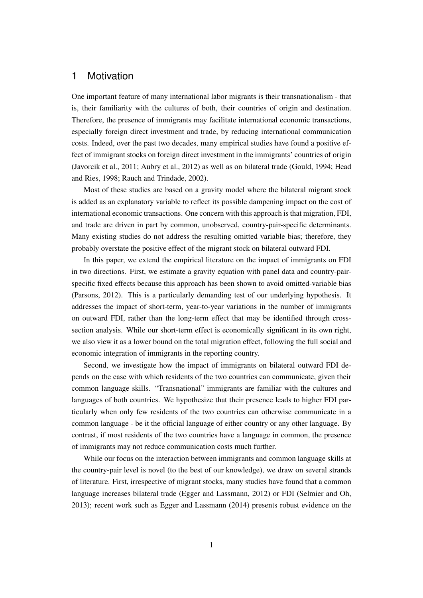### 1 Motivation

One important feature of many international labor migrants is their transnationalism - that is, their familiarity with the cultures of both, their countries of origin and destination. Therefore, the presence of immigrants may facilitate international economic transactions, especially foreign direct investment and trade, by reducing international communication costs. Indeed, over the past two decades, many empirical studies have found a positive effect of immigrant stocks on foreign direct investment in the immigrants' countries of origin [\(Javorcik et al., 2011;](#page-16-0) [Aubry et al., 2012\)](#page-16-1) as well as on bilateral trade [\(Gould, 1994;](#page-16-2) [Head](#page-16-3) [and Ries, 1998;](#page-16-3) [Rauch and Trindade, 2002\)](#page-17-0).

Most of these studies are based on a gravity model where the bilateral migrant stock is added as an explanatory variable to reflect its possible dampening impact on the cost of international economic transactions. One concern with this approach is that migration, FDI, and trade are driven in part by common, unobserved, country-pair-specific determinants. Many existing studies do not address the resulting omitted variable bias; therefore, they probably overstate the positive effect of the migrant stock on bilateral outward FDI.

In this paper, we extend the empirical literature on the impact of immigrants on FDI in two directions. First, we estimate a gravity equation with panel data and country-pairspecific fixed effects because this approach has been shown to avoid omitted-variable bias [\(Parsons, 2012\)](#page-17-1). This is a particularly demanding test of our underlying hypothesis. It addresses the impact of short-term, year-to-year variations in the number of immigrants on outward FDI, rather than the long-term effect that may be identified through crosssection analysis. While our short-term effect is economically significant in its own right, we also view it as a lower bound on the total migration effect, following the full social and economic integration of immigrants in the reporting country.

Second, we investigate how the impact of immigrants on bilateral outward FDI depends on the ease with which residents of the two countries can communicate, given their common language skills. "Transnational" immigrants are familiar with the cultures and languages of both countries. We hypothesize that their presence leads to higher FDI particularly when only few residents of the two countries can otherwise communicate in a common language - be it the official language of either country or any other language. By contrast, if most residents of the two countries have a language in common, the presence of immigrants may not reduce communication costs much further.

While our focus on the interaction between immigrants and common language skills at the country-pair level is novel (to the best of our knowledge), we draw on several strands of literature. First, irrespective of migrant stocks, many studies have found that a common language increases bilateral trade [\(Egger and Lassmann, 2012\)](#page-16-4) or FDI [\(Selmier and Oh,](#page-17-2) [2013\)](#page-17-2); recent work such as [Egger and Lassmann](#page-16-5) [\(2014\)](#page-16-5) presents robust evidence on the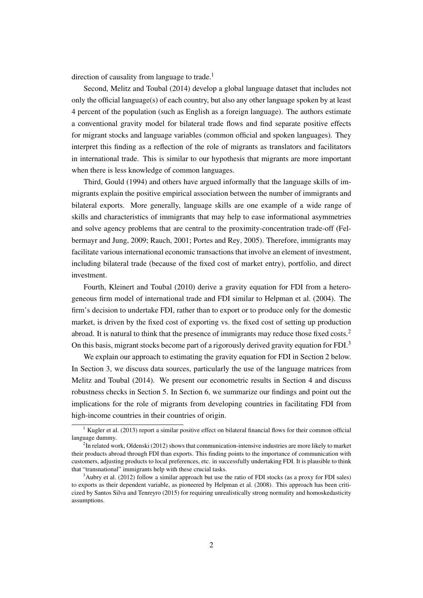direction of causality from language to trade.<sup>[1](#page--1-0)</sup>

Second, [Melitz and Toubal](#page-16-6) [\(2014\)](#page-16-6) develop a global language dataset that includes not only the official language(s) of each country, but also any other language spoken by at least 4 percent of the population (such as English as a foreign language). The authors estimate a conventional gravity model for bilateral trade flows and find separate positive effects for migrant stocks and language variables (common official and spoken languages). They interpret this finding as a reflection of the role of migrants as translators and facilitators in international trade. This is similar to our hypothesis that migrants are more important when there is less knowledge of common languages.

Third, [Gould](#page-16-2) [\(1994\)](#page-16-2) and others have argued informally that the language skills of immigrants explain the positive empirical association between the number of immigrants and bilateral exports. More generally, language skills are one example of a wide range of skills and characteristics of immigrants that may help to ease informational asymmetries and solve agency problems that are central to the proximity-concentration trade-off [\(Fel](#page-16-7)[bermayr and Jung, 2009;](#page-16-7) [Rauch, 2001;](#page-17-3) [Portes and Rey, 2005\)](#page-17-4). Therefore, immigrants may facilitate various international economic transactions that involve an element of investment, including bilateral trade (because of the fixed cost of market entry), portfolio, and direct investment.

Fourth, [Kleinert and Toubal](#page-16-8) [\(2010\)](#page-16-8) derive a gravity equation for FDI from a heterogeneous firm model of international trade and FDI similar to [Helpman et al.](#page-16-9) [\(2004\)](#page-16-9). The firm's decision to undertake FDI, rather than to export or to produce only for the domestic market, is driven by the fixed cost of exporting vs. the fixed cost of setting up production abroad. It is natural to think that the presence of immigrants may reduce those fixed costs.<sup>[2](#page--1-0)</sup> On this basis, migrant stocks become part of a rigorously derived gravity equation for FDI.<sup>[3](#page--1-0)</sup>

We explain our approach to estimating the gravity equation for FDI in Section 2 below. In Section 3, we discuss data sources, particularly the use of the language matrices from [Melitz and Toubal](#page-16-6) [\(2014\)](#page-16-6). We present our econometric results in Section 4 and discuss robustness checks in Section 5. In Section 6, we summarize our findings and point out the implications for the role of migrants from developing countries in facilitating FDI from high-income countries in their countries of origin.

 $<sup>1</sup>$  [Kugler et al.](#page-16-10) [\(2013\)](#page-16-10) report a similar positive effect on bilateral financial flows for their common official</sup> language dummy.

 $2$ In related work, [Oldenski](#page-17-5) [\(2012\)](#page-17-5) shows that communication-intensive industries are more likely to market their products abroad through FDI than exports. This finding points to the importance of communication with customers, adjusting products to local preferences, etc. in successfully undertaking FDI. It is plausible to think that "transnational" immigrants help with these crucial tasks.

<sup>&</sup>lt;sup>3</sup>[Aubry et al.](#page-16-1) [\(2012\)](#page-16-1) follow a similar approach but use the ratio of FDI stocks (as a proxy for FDI sales) to exports as their dependent variable, as pioneered by [Helpman et al.](#page-16-11) [\(2008\)](#page-16-11). This approach has been criticized by [Santos Silva and Tenreyro](#page-17-6) [\(2015\)](#page-17-6) for requiring unrealistically strong normality and homoskedasticity assumptions.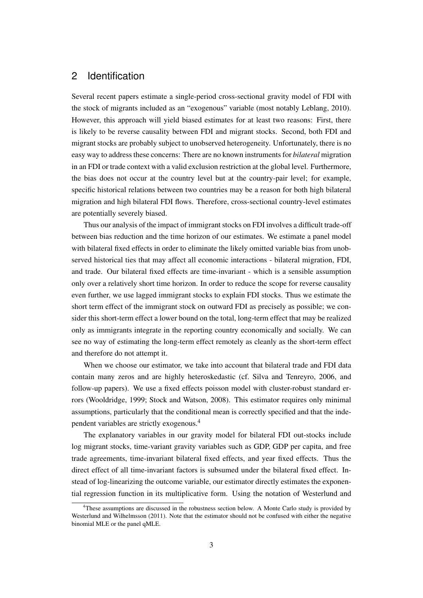## 2 Identification

Several recent papers estimate a single-period cross-sectional gravity model of FDI with the stock of migrants included as an "exogenous" variable (most notably [Leblang, 2010\)](#page-16-12). However, this approach will yield biased estimates for at least two reasons: First, there is likely to be reverse causality between FDI and migrant stocks. Second, both FDI and migrant stocks are probably subject to unobserved heterogeneity. Unfortunately, there is no easy way to address these concerns: There are no known instruments for *bilateral* migration in an FDI or trade context with a valid exclusion restriction at the global level. Furthermore, the bias does not occur at the country level but at the country-pair level; for example, specific historical relations between two countries may be a reason for both high bilateral migration and high bilateral FDI flows. Therefore, cross-sectional country-level estimates are potentially severely biased.

Thus our analysis of the impact of immigrant stocks on FDI involves a difficult trade-off between bias reduction and the time horizon of our estimates. We estimate a panel model with bilateral fixed effects in order to eliminate the likely omitted variable bias from unobserved historical ties that may affect all economic interactions - bilateral migration, FDI, and trade. Our bilateral fixed effects are time-invariant - which is a sensible assumption only over a relatively short time horizon. In order to reduce the scope for reverse causality even further, we use lagged immigrant stocks to explain FDI stocks. Thus we estimate the short term effect of the immigrant stock on outward FDI as precisely as possible; we consider this short-term effect a lower bound on the total, long-term effect that may be realized only as immigrants integrate in the reporting country economically and socially. We can see no way of estimating the long-term effect remotely as cleanly as the short-term effect and therefore do not attempt it.

When we choose our estimator, we take into account that bilateral trade and FDI data contain many zeros and are highly heteroskedastic (cf. [Silva and Tenreyro, 2006,](#page-17-7) and follow-up papers). We use a fixed effects poisson model with cluster-robust standard errors [\(Wooldridge, 1999;](#page-17-8) [Stock and Watson, 2008\)](#page-17-9). This estimator requires only minimal assumptions, particularly that the conditional mean is correctly specified and that the independent variables are strictly exogenous.[4](#page--1-0)

The explanatory variables in our gravity model for bilateral FDI out-stocks include log migrant stocks, time-variant gravity variables such as GDP, GDP per capita, and free trade agreements, time-invariant bilateral fixed effects, and year fixed effects. Thus the direct effect of all time-invariant factors is subsumed under the bilateral fixed effect. Instead of log-linearizing the outcome variable, our estimator directly estimates the exponential regression function in its multiplicative form. Using the notation of [Westerlund and](#page-17-10)

<sup>&</sup>lt;sup>4</sup>[These assumptions are discussed in the robustness section below. A Monte Carlo study is provided by](#page-17-10) [Westerlund and Wilhelmsson \(2011\). Note that the estimator should not be confused with either the negative](#page-17-10) [binomial MLE or the panel qMLE.](#page-17-10)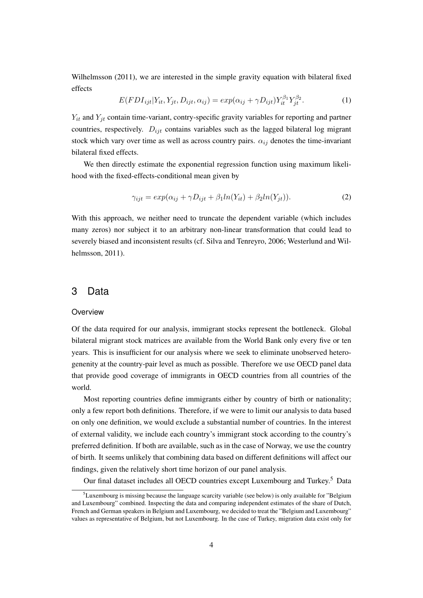[Wilhelmsson](#page-17-10) [\(2011\)](#page-17-10), we are interested in the simple gravity equation with bilateral fixed effects

$$
E(FDI_{ijt}|Y_{it}, Y_{jt}, D_{ijt}, \alpha_{ij}) = exp(\alpha_{ij} + \gamma D_{ijt})Y_{it}^{\beta_1}Y_{jt}^{\beta_2}.
$$
\n(1)

 $Y_{it}$  and  $Y_{jt}$  contain time-variant, contry-specific gravity variables for reporting and partner countries, respectively.  $D_{ijt}$  contains variables such as the lagged bilateral log migrant stock which vary over time as well as across country pairs.  $\alpha_{ij}$  denotes the time-invariant bilateral fixed effects.

We then directly estimate the exponential regression function using maximum likelihood with the fixed-effects-conditional mean given by

$$
\gamma_{ijt} = exp(\alpha_{ij} + \gamma D_{ijt} + \beta_1 ln(Y_{it}) + \beta_2 ln(Y_{jt})).
$$
\n(2)

With this approach, we neither need to truncate the dependent variable (which includes many zeros) nor subject it to an arbitrary non-linear transformation that could lead to severely biased and inconsistent results (cf. [Silva and Tenreyro, 2006;](#page-17-7) [Westerlund and Wil](#page-17-10)[helmsson, 2011\)](#page-17-10).

## 3 Data

#### **Overview**

Of the data required for our analysis, immigrant stocks represent the bottleneck. Global bilateral migrant stock matrices are available from the World Bank only every five or ten years. This is insufficient for our analysis where we seek to eliminate unobserved heterogenenity at the country-pair level as much as possible. Therefore we use OECD panel data that provide good coverage of immigrants in OECD countries from all countries of the world.

Most reporting countries define immigrants either by country of birth or nationality; only a few report both definitions. Therefore, if we were to limit our analysis to data based on only one definition, we would exclude a substantial number of countries. In the interest of external validity, we include each country's immigrant stock according to the country's preferred definition. If both are available, such as in the case of Norway, we use the country of birth. It seems unlikely that combining data based on different definitions will affect our findings, given the relatively short time horizon of our panel analysis.

Our final dataset includes all OECD countries except Luxembourg and Turkey.[5](#page--1-0) Data

 $<sup>5</sup>$ Luxembourg is missing because the language scarcity variable (see below) is only available for "Belgium"</sup> and Luxembourg" combined. Inspecting the data and comparing independent estimates of the share of Dutch, French and German speakers in Belgium and Luxembourg, we decided to treat the "Belgium and Luxembourg" values as representative of Belgium, but not Luxembourg. In the case of Turkey, migration data exist only for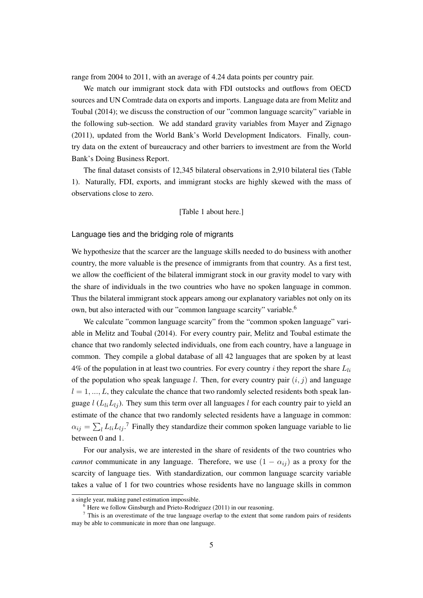range from 2004 to 2011, with an average of 4.24 data points per country pair.

We match our immigrant stock data with FDI outstocks and outflows from OECD sources and UN Comtrade data on exports and imports. Language data are from [Melitz and](#page-16-6) [Toubal](#page-16-6) [\(2014\)](#page-16-6); we discuss the construction of our "common language scarcity" variable in the following sub-section. We add standard gravity variables from [Mayer and Zignago](#page-16-13) [\(2011\)](#page-16-13), updated from the World Bank's World Development Indicators. Finally, country data on the extent of bureaucracy and other barriers to investment are from the World Bank's Doing Business Report.

The final dataset consists of 12,345 bilateral observations in 2,910 bilateral ties (Table [1\)](#page-18-0). Naturally, FDI, exports, and immigrant stocks are highly skewed with the mass of observations close to zero.

#### [Table [1](#page-18-0) about here.]

Language ties and the bridging role of migrants

We hypothesize that the scarcer are the language skills needed to do business with another country, the more valuable is the presence of immigrants from that country. As a first test, we allow the coefficient of the bilateral immigrant stock in our gravity model to vary with the share of individuals in the two countries who have no spoken language in common. Thus the bilateral immigrant stock appears among our explanatory variables not only on its own, but also interacted with our "common language scarcity" variable.<sup>[6](#page--1-0)</sup>

We calculate "common language scarcity" from the "common spoken language" variable in [Melitz and Toubal](#page-16-6) [\(2014\)](#page-16-6). For every country pair, Melitz and Toubal estimate the chance that two randomly selected individuals, one from each country, have a language in common. They compile a global database of all 42 languages that are spoken by at least 4% of the population in at least two countries. For every country  $i$  they report the share  $L_{li}$ of the population who speak language l. Then, for every country pair  $(i, j)$  and language  $l = 1, ..., L$ , they calculate the chance that two randomly selected residents both speak language  $l$  ( $L_{li}L_{lj}$ ). They sum this term over all languages l for each country pair to yield an estimate of the chance that two randomly selected residents have a language in common:  $\alpha_{ij} = \sum_l L_{li} L_{lj}$ .<sup>[7](#page--1-0)</sup> Finally they standardize their common spoken language variable to lie between 0 and 1.

For our analysis, we are interested in the share of residents of the two countries who *cannot* communicate in any language. Therefore, we use  $(1 - \alpha_{ij})$  as a proxy for the scarcity of language ties. With standardization, our common language scarcity variable takes a value of 1 for two countries whose residents have no language skills in common

a single year, making panel estimation impossible.

 $6$  Here we follow [Ginsburgh and Prieto-Rodriguez](#page-16-14) [\(2011\)](#page-16-14) in our reasoning.

<sup>7</sup> This is an overestimate of the true language overlap to the extent that some random pairs of residents may be able to communicate in more than one language.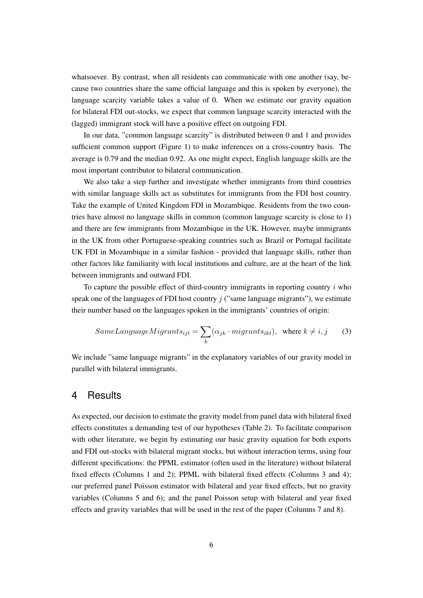whatsoever. By contrast, when all residents can communicate with one another (say, because two countries share the same official language and this is spoken by everyone), the language scarcity variable takes a value of 0. When we estimate our gravity equation for bilateral FDI out-stocks, we expect that common language scarcity interacted with the (lagged) immigrant stock will have a positive effect on outgoing FDI.

In our data, "common language scarcity" is distributed between 0 and 1 and provides sufficient common support (Figure [1\)](#page-23-0) to make inferences on a cross-country basis. The average is 0.79 and the median 0.92. As one might expect, English language skills are the most important contributor to bilateral communication.

We also take a step further and investigate whether immigrants from third countries with similar language skills act as substitutes for immigrants from the FDI host country. Take the example of United Kingdom FDI in Mozambique. Residents from the two countries have almost no language skills in common (common language scarcity is close to 1) and there are few immigrants from Mozambique in the UK. However, maybe immigrants in the UK from other Portuguese-speaking countries such as Brazil or Portugal facilitate UK FDI in Mozambique in a similar fashion - provided that language skills, rather than other factors like familiarity with local institutions and culture, are at the heart of the link between immigrants and outward FDI.

To capture the possible effect of third-country immigrants in reporting country  $i$  who speak one of the languages of FDI host country  $j$  ("same language migrants"), we estimate their number based on the languages spoken in the immigrants' countries of origin:

$$
SameLanguageMigrants_{ijt} = \sum_{k} (\alpha_{jk} \cdot migrants_{ikt}), \text{ where } k \neq i, j \qquad (3)
$$

We include "same language migrants" in the explanatory variables of our gravity model in parallel with bilateral immigrants.

### 4 Results

As expected, our decision to estimate the gravity model from panel data with bilateral fixed effects constitutes a demanding test of our hypotheses (Table [2\)](#page-19-0). To facilitate comparison with other literature, we begin by estimating our basic gravity equation for both exports and FDI out-stocks with bilateral migrant stocks, but without interaction terms, using four different specifications: the PPML estimator (often used in the literature) without bilateral fixed effects (Columns 1 and 2); PPML with bilateral fixed effects (Columns 3 and 4); our preferred panel Poisson estimator with bilateral and year fixed effects, but no gravity variables (Columns 5 and 6); and the panel Poisson setup with bilateral and year fixed effects and gravity variables that will be used in the rest of the paper (Columns 7 and 8).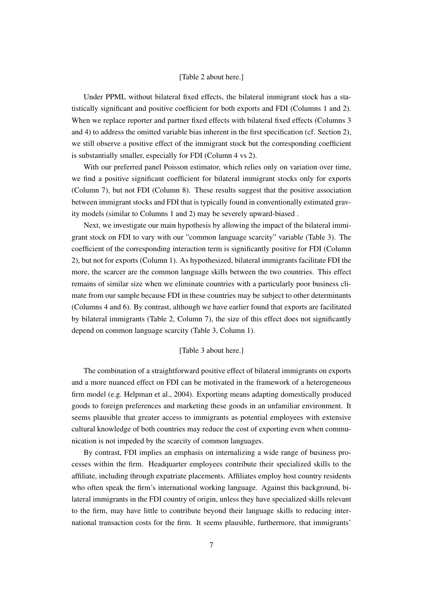#### [Table [2](#page-19-0) about here.]

Under PPML without bilateral fixed effects, the bilateral immigrant stock has a statistically significant and positive coefficient for both exports and FDI (Columns 1 and 2). When we replace reporter and partner fixed effects with bilateral fixed effects (Columns 3 and 4) to address the omitted variable bias inherent in the first specification (cf. Section 2), we still observe a positive effect of the immigrant stock but the corresponding coefficient is substantially smaller, especially for FDI (Column 4 vs 2).

With our preferred panel Poisson estimator, which relies only on variation over time, we find a positive significant coefficient for bilateral immigrant stocks only for exports (Column 7), but not FDI (Column 8). These results suggest that the positive association between immigrant stocks and FDI that is typically found in conventionally estimated gravity models (similar to Columns 1 and 2) may be severely upward-biased .

Next, we investigate our main hypothesis by allowing the impact of the bilateral immigrant stock on FDI to vary with our "common language scarcity" variable (Table [3\)](#page-20-0). The coefficient of the corresponding interaction term is significantly positive for FDI (Column 2), but not for exports (Column 1). As hypothesized, bilateral immigrants facilitate FDI the more, the scarcer are the common language skills between the two countries. This effect remains of similar size when we eliminate countries with a particularly poor business climate from our sample because FDI in these countries may be subject to other determinants (Columns 4 and 6). By contrast, although we have earlier found that exports are facilitated by bilateral immigrants (Table [2,](#page-19-0) Column 7), the size of this effect does not significantly depend on common language scarcity (Table [3,](#page-20-0) Column 1).

#### [Table [3](#page-20-0) about here.]

The combination of a straightforward positive effect of bilateral immigrants on exports and a more nuanced effect on FDI can be motivated in the framework of a heterogeneous firm model (e.g. [Helpman et al., 2004\)](#page-16-9). Exporting means adapting domestically produced goods to foreign preferences and marketing these goods in an unfamiliar environment. It seems plausible that greater access to immigrants as potential employees with extensive cultural knowledge of both countries may reduce the cost of exporting even when communication is not impeded by the scarcity of common languages.

By contrast, FDI implies an emphasis on internalizing a wide range of business processes within the firm. Headquarter employees contribute their specialized skills to the affiliate, including through expatriate placements. Affiliates employ host country residents who often speak the firm's international working language. Against this background, bilateral immigrants in the FDI country of origin, unless they have specialized skills relevant to the firm, may have little to contribute beyond their language skills to reducing international transaction costs for the firm. It seems plausible, furthermore, that immigrants'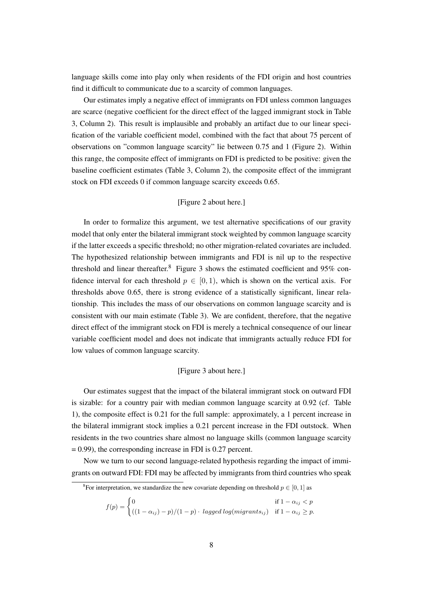language skills come into play only when residents of the FDI origin and host countries find it difficult to communicate due to a scarcity of common languages.

Our estimates imply a negative effect of immigrants on FDI unless common languages are scarce (negative coefficient for the direct effect of the lagged immigrant stock in Table [3,](#page-20-0) Column 2). This result is implausible and probably an artifact due to our linear specification of the variable coefficient model, combined with the fact that about 75 percent of observations on "common language scarcity" lie between 0.75 and 1 (Figure [2\)](#page-24-0). Within this range, the composite effect of immigrants on FDI is predicted to be positive: given the baseline coefficient estimates (Table [3,](#page-20-0) Column 2), the composite effect of the immigrant stock on FDI exceeds 0 if common language scarcity exceeds 0.65.

#### [Figure [2](#page-24-0) about here.]

In order to formalize this argument, we test alternative specifications of our gravity model that only enter the bilateral immigrant stock weighted by common language scarcity if the latter exceeds a specific threshold; no other migration-related covariates are included. The hypothesized relationship between immigrants and FDI is nil up to the respective threshold and linear thereafter.<sup>[8](#page--1-0)</sup> Figure [3](#page-24-1) shows the estimated coefficient and  $95\%$  confidence interval for each threshold  $p \in [0, 1)$ , which is shown on the vertical axis. For thresholds above 0.65, there is strong evidence of a statistically significant, linear relationship. This includes the mass of our observations on common language scarcity and is consistent with our main estimate (Table [3\)](#page-20-0). We are confident, therefore, that the negative direct effect of the immigrant stock on FDI is merely a technical consequence of our linear variable coefficient model and does not indicate that immigrants actually reduce FDI for low values of common language scarcity.

#### [Figure [3](#page-24-1) about here.]

Our estimates suggest that the impact of the bilateral immigrant stock on outward FDI is sizable: for a country pair with median common language scarcity at 0.92 (cf. Table [1\)](#page-18-0), the composite effect is 0.21 for the full sample: approximately, a 1 percent increase in the bilateral immigrant stock implies a 0.21 percent increase in the FDI outstock. When residents in the two countries share almost no language skills (common language scarcity  $= 0.99$ ), the corresponding increase in FDI is 0.27 percent.

Now we turn to our second language-related hypothesis regarding the impact of immigrants on outward FDI: FDI may be affected by immigrants from third countries who speak

$$
f(p) = \begin{cases} 0 & \text{if } 1 - \alpha_{ij} < p \\ ((1 - \alpha_{ij}) - p)/(1 - p) \cdot \text{lagged log}(migrants_{ij}) & \text{if } 1 - \alpha_{ij} \ge p. \end{cases}
$$

<sup>&</sup>lt;sup>8</sup>For interpretation, we standardize the new covariate depending on threshold  $p \in [0, 1]$  as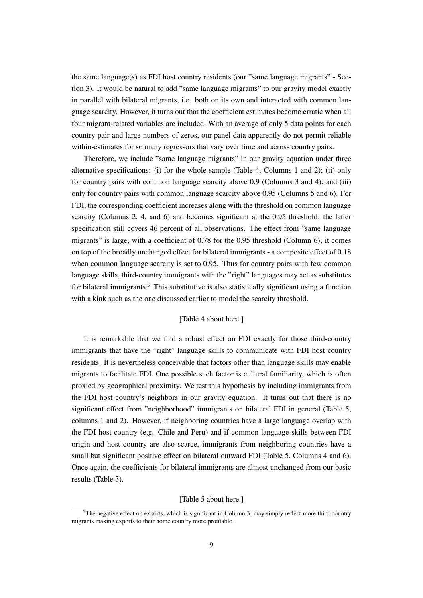the same language(s) as FDI host country residents (our "same language migrants" - Section 3). It would be natural to add "same language migrants" to our gravity model exactly in parallel with bilateral migrants, i.e. both on its own and interacted with common language scarcity. However, it turns out that the coefficient estimates become erratic when all four migrant-related variables are included. With an average of only 5 data points for each country pair and large numbers of zeros, our panel data apparently do not permit reliable within-estimates for so many regressors that vary over time and across country pairs.

Therefore, we include "same language migrants" in our gravity equation under three alternative specifications: (i) for the whole sample (Table [4,](#page-20-1) Columns 1 and 2); (ii) only for country pairs with common language scarcity above 0.9 (Columns 3 and 4); and (iii) only for country pairs with common language scarcity above 0.95 (Columns 5 and 6). For FDI, the corresponding coefficient increases along with the threshold on common language scarcity (Columns 2, 4, and 6) and becomes significant at the 0.95 threshold; the latter specification still covers 46 percent of all observations. The effect from "same language migrants" is large, with a coefficient of 0.78 for the 0.95 threshold (Column 6); it comes on top of the broadly unchanged effect for bilateral immigrants - a composite effect of 0.18 when common language scarcity is set to 0.95. Thus for country pairs with few common language skills, third-country immigrants with the "right" languages may act as substitutes for bilateral immigrants.<sup>[9](#page--1-0)</sup> This substitutive is also statistically significant using a function with a kink such as the one discussed earlier to model the scarcity threshold.

#### [Table [4](#page-20-1) about here.]

It is remarkable that we find a robust effect on FDI exactly for those third-country immigrants that have the "right" language skills to communicate with FDI host country residents. It is nevertheless conceivable that factors other than language skills may enable migrants to facilitate FDI. One possible such factor is cultural familiarity, which is often proxied by geographical proximity. We test this hypothesis by including immigrants from the FDI host country's neighbors in our gravity equation. It turns out that there is no significant effect from "neighborhood" immigrants on bilateral FDI in general (Table [5,](#page-21-0) columns 1 and 2). However, if neighboring countries have a large language overlap with the FDI host country (e.g. Chile and Peru) and if common language skills between FDI origin and host country are also scarce, immigrants from neighboring countries have a small but significant positive effect on bilateral outward FDI (Table [5,](#page-21-0) Columns 4 and 6). Once again, the coefficients for bilateral immigrants are almost unchanged from our basic results (Table [3\)](#page-20-0).

#### [Table [5](#page-21-0) about here.]

<sup>&</sup>lt;sup>9</sup>The negative effect on exports, which is significant in Column 3, may simply reflect more third-country migrants making exports to their home country more profitable.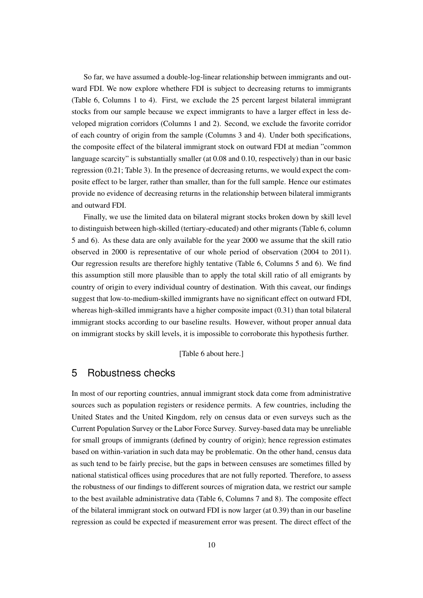So far, we have assumed a double-log-linear relationship between immigrants and outward FDI. We now explore whethere FDI is subject to decreasing returns to immigrants (Table [6,](#page-21-1) Columns 1 to 4). First, we exclude the 25 percent largest bilateral immigrant stocks from our sample because we expect immigrants to have a larger effect in less developed migration corridors (Columns 1 and 2). Second, we exclude the favorite corridor of each country of origin from the sample (Columns 3 and 4). Under both specifications, the composite effect of the bilateral immigrant stock on outward FDI at median "common language scarcity" is substantially smaller (at 0.08 and 0.10, respectively) than in our basic regression (0.21; Table [3\)](#page-20-0). In the presence of decreasing returns, we would expect the composite effect to be larger, rather than smaller, than for the full sample. Hence our estimates provide no evidence of decreasing returns in the relationship between bilateral immigrants and outward FDI.

Finally, we use the limited data on bilateral migrant stocks broken down by skill level to distinguish between high-skilled (tertiary-educated) and other migrants (Table [6,](#page-21-1) column 5 and 6). As these data are only available for the year 2000 we assume that the skill ratio observed in 2000 is representative of our whole period of observation (2004 to 2011). Our regression results are therefore highly tentative (Table [6,](#page-21-1) Columns 5 and 6). We find this assumption still more plausible than to apply the total skill ratio of all emigrants by country of origin to every individual country of destination. With this caveat, our findings suggest that low-to-medium-skilled immigrants have no significant effect on outward FDI, whereas high-skilled immigrants have a higher composite impact (0.31) than total bilateral immigrant stocks according to our baseline results. However, without proper annual data on immigrant stocks by skill levels, it is impossible to corroborate this hypothesis further.

### [Table [6](#page-21-1) about here.]

## 5 Robustness checks

In most of our reporting countries, annual immigrant stock data come from administrative sources such as population registers or residence permits. A few countries, including the United States and the United Kingdom, rely on census data or even surveys such as the Current Population Survey or the Labor Force Survey. Survey-based data may be unreliable for small groups of immigrants (defined by country of origin); hence regression estimates based on within-variation in such data may be problematic. On the other hand, census data as such tend to be fairly precise, but the gaps in between censuses are sometimes filled by national statistical offices using procedures that are not fully reported. Therefore, to assess the robustness of our findings to different sources of migration data, we restrict our sample to the best available administrative data (Table [6,](#page-21-1) Columns 7 and 8). The composite effect of the bilateral immigrant stock on outward FDI is now larger (at 0.39) than in our baseline regression as could be expected if measurement error was present. The direct effect of the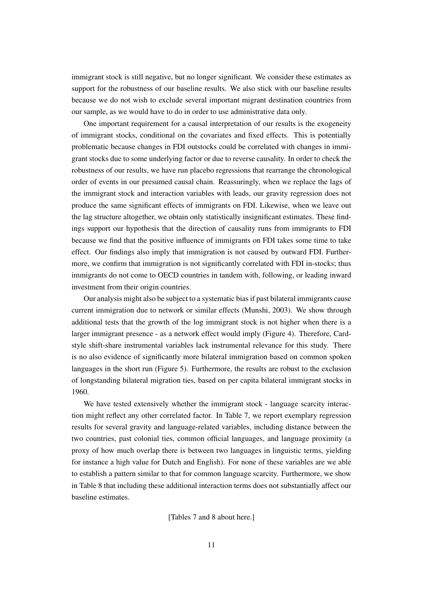immigrant stock is still negative, but no longer significant. We consider these estimates as support for the robustness of our baseline results. We also stick with our baseline results because we do not wish to exclude several important migrant destination countries from our sample, as we would have to do in order to use administrative data only.

One important requirement for a causal interpretation of our results is the exogeneity of immigrant stocks, conditional on the covariates and fixed effects. This is potentially problematic because changes in FDI outstocks could be correlated with changes in immigrant stocks due to some underlying factor or due to reverse causality. In order to check the robustness of our results, we have run placebo regressions that rearrange the chronological order of events in our presumed causal chain. Reassuringly, when we replace the lags of the immigrant stock and interaction variables with leads, our gravity regression does not produce the same significant effects of immigrants on FDI. Likewise, when we leave out the lag structure altogether, we obtain only statistically insignificant estimates. These findings support our hypothesis that the direction of causality runs from immigrants to FDI because we find that the positive influence of immigrants on FDI takes some time to take effect. Our findings also imply that immigration is not caused by outward FDI. Furthermore, we confirm that immigration is not significantly correlated with FDI in-stocks; thus immigrants do not come to OECD countries in tandem with, following, or leading inward investment from their origin countries.

Our analysis might also be subject to a systematic bias if past bilateral immigrants cause current immigration due to network or similar effects [\(Munshi, 2003\)](#page-17-11). We show through additional tests that the growth of the log immigrant stock is not higher when there is a larger immigrant presence - as a network effect would imply (Figure [4\)](#page-25-0). Therefore, Cardstyle shift-share instrumental variables lack instrumental relevance for this study. There is no also evidence of significantly more bilateral immigration based on common spoken languages in the short run (Figure [5\)](#page-25-1). Furthermore, the results are robust to the exclusion of longstanding bilateral migration ties, based on per capita bilateral immigrant stocks in 1960.

We have tested extensively whether the immigrant stock - language scarcity interaction might reflect any other correlated factor. In Table [7,](#page-22-0) we report exemplary regression results for several gravity and language-related variables, including distance between the two countries, past colonial ties, common official languages, and language proximity (a proxy of how much overlap there is between two languages in linguistic terms, yielding for instance a high value for Dutch and English). For none of these variables are we able to establish a pattern similar to that for common language scarcity. Furthermore, we show in Table [8](#page-22-1) that including these additional interaction terms does not substantially affect our baseline estimates.

[Tables [7](#page-22-0) and [8](#page-22-1) about here.]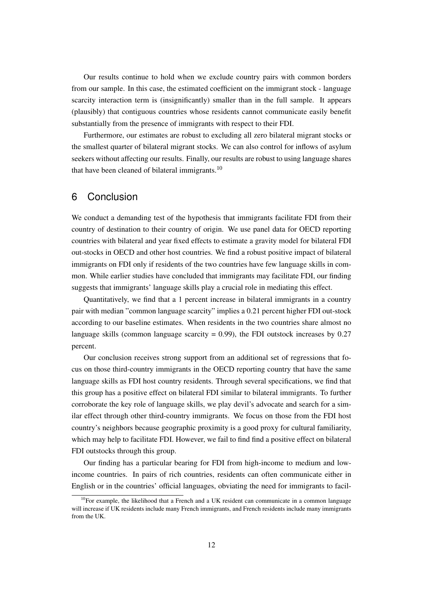Our results continue to hold when we exclude country pairs with common borders from our sample. In this case, the estimated coefficient on the immigrant stock - language scarcity interaction term is (insignificantly) smaller than in the full sample. It appears (plausibly) that contiguous countries whose residents cannot communicate easily benefit substantially from the presence of immigrants with respect to their FDI.

Furthermore, our estimates are robust to excluding all zero bilateral migrant stocks or the smallest quarter of bilateral migrant stocks. We can also control for inflows of asylum seekers without affecting our results. Finally, our results are robust to using language shares that have been cleaned of bilateral immigrants. $10$ 

### 6 Conclusion

We conduct a demanding test of the hypothesis that immigrants facilitate FDI from their country of destination to their country of origin. We use panel data for OECD reporting countries with bilateral and year fixed effects to estimate a gravity model for bilateral FDI out-stocks in OECD and other host countries. We find a robust positive impact of bilateral immigrants on FDI only if residents of the two countries have few language skills in common. While earlier studies have concluded that immigrants may facilitate FDI, our finding suggests that immigrants' language skills play a crucial role in mediating this effect.

Quantitatively, we find that a 1 percent increase in bilateral immigrants in a country pair with median "common language scarcity" implies a 0.21 percent higher FDI out-stock according to our baseline estimates. When residents in the two countries share almost no language skills (common language scarcity  $= 0.99$ ), the FDI outstock increases by 0.27 percent.

Our conclusion receives strong support from an additional set of regressions that focus on those third-country immigrants in the OECD reporting country that have the same language skills as FDI host country residents. Through several specifications, we find that this group has a positive effect on bilateral FDI similar to bilateral immigrants. To further corroborate the key role of language skills, we play devil's advocate and search for a similar effect through other third-country immigrants. We focus on those from the FDI host country's neighbors because geographic proximity is a good proxy for cultural familiarity, which may help to facilitate FDI. However, we fail to find find a positive effect on bilateral FDI outstocks through this group.

Our finding has a particular bearing for FDI from high-income to medium and lowincome countries. In pairs of rich countries, residents can often communicate either in English or in the countries' official languages, obviating the need for immigrants to facil-

<sup>&</sup>lt;sup>10</sup>For example, the likelihood that a French and a UK resident can communicate in a common language will increase if UK residents include many French immigrants, and French residents include many immigrants from the UK.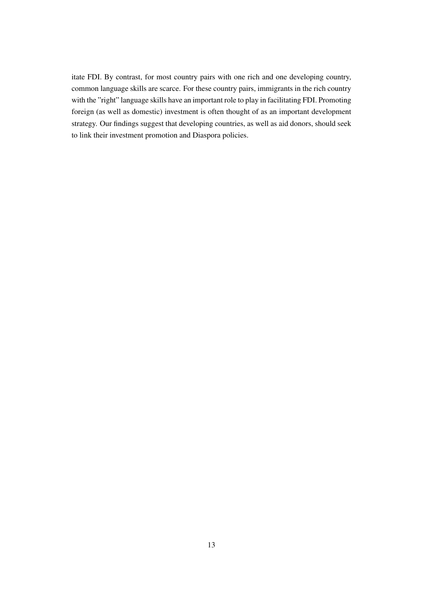itate FDI. By contrast, for most country pairs with one rich and one developing country, common language skills are scarce. For these country pairs, immigrants in the rich country with the "right" language skills have an important role to play in facilitating FDI. Promoting foreign (as well as domestic) investment is often thought of as an important development strategy. Our findings suggest that developing countries, as well as aid donors, should seek to link their investment promotion and Diaspora policies.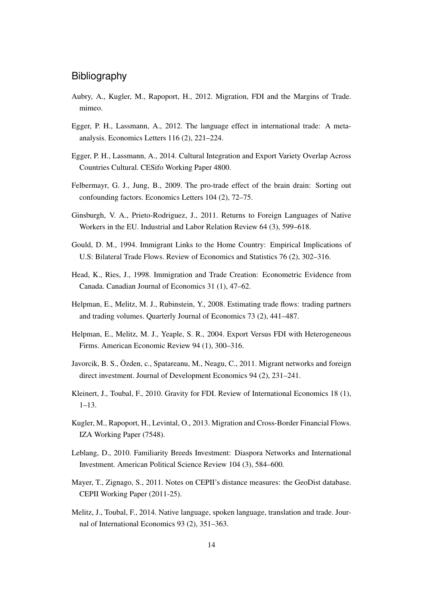## **Bibliography**

- <span id="page-16-1"></span>Aubry, A., Kugler, M., Rapoport, H., 2012. Migration, FDI and the Margins of Trade. mimeo.
- <span id="page-16-4"></span>Egger, P. H., Lassmann, A., 2012. The language effect in international trade: A metaanalysis. Economics Letters 116 (2), 221–224.
- <span id="page-16-5"></span>Egger, P. H., Lassmann, A., 2014. Cultural Integration and Export Variety Overlap Across Countries Cultural. CESifo Working Paper 4800.
- <span id="page-16-7"></span>Felbermayr, G. J., Jung, B., 2009. The pro-trade effect of the brain drain: Sorting out confounding factors. Economics Letters 104 (2), 72–75.
- <span id="page-16-14"></span>Ginsburgh, V. A., Prieto-Rodriguez, J., 2011. Returns to Foreign Languages of Native Workers in the EU. Industrial and Labor Relation Review 64 (3), 599–618.
- <span id="page-16-2"></span>Gould, D. M., 1994. Immigrant Links to the Home Country: Empirical Implications of U.S: Bilateral Trade Flows. Review of Economics and Statistics 76 (2), 302–316.
- <span id="page-16-3"></span>Head, K., Ries, J., 1998. Immigration and Trade Creation: Econometric Evidence from Canada. Canadian Journal of Economics 31 (1), 47–62.
- <span id="page-16-11"></span>Helpman, E., Melitz, M. J., Rubinstein, Y., 2008. Estimating trade flows: trading partners and trading volumes. Quarterly Journal of Economics 73 (2), 441–487.
- <span id="page-16-9"></span>Helpman, E., Melitz, M. J., Yeaple, S. R., 2004. Export Versus FDI with Heterogeneous Firms. American Economic Review 94 (1), 300–316.
- <span id="page-16-0"></span>Javorcik, B. S., Özden, c., Spatareanu, M., Neagu, C., 2011. Migrant networks and foreign direct investment. Journal of Development Economics 94 (2), 231–241.
- <span id="page-16-8"></span>Kleinert, J., Toubal, F., 2010. Gravity for FDI. Review of International Economics 18 (1), 1–13.
- <span id="page-16-10"></span>Kugler, M., Rapoport, H., Levintal, O., 2013. Migration and Cross-Border Financial Flows. IZA Working Paper (7548).
- <span id="page-16-12"></span>Leblang, D., 2010. Familiarity Breeds Investment: Diaspora Networks and International Investment. American Political Science Review 104 (3), 584–600.
- <span id="page-16-13"></span>Mayer, T., Zignago, S., 2011. Notes on CEPII's distance measures: the GeoDist database. CEPII Working Paper (2011-25).
- <span id="page-16-6"></span>Melitz, J., Toubal, F., 2014. Native language, spoken language, translation and trade. Journal of International Economics 93 (2), 351–363.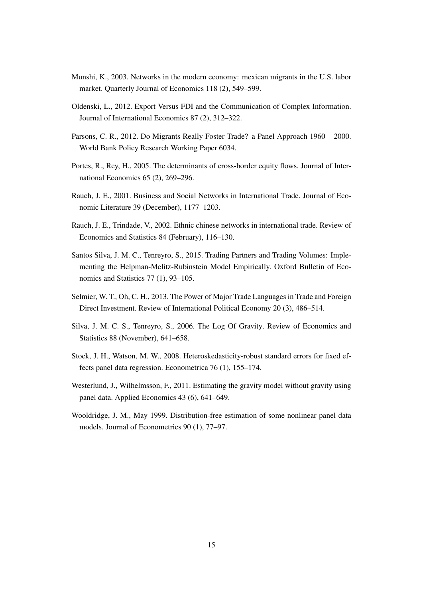- <span id="page-17-11"></span>Munshi, K., 2003. Networks in the modern economy: mexican migrants in the U.S. labor market. Quarterly Journal of Economics 118 (2), 549–599.
- <span id="page-17-5"></span>Oldenski, L., 2012. Export Versus FDI and the Communication of Complex Information. Journal of International Economics 87 (2), 312–322.
- <span id="page-17-1"></span>Parsons, C. R., 2012. Do Migrants Really Foster Trade? a Panel Approach 1960 – 2000. World Bank Policy Research Working Paper 6034.
- <span id="page-17-4"></span>Portes, R., Rey, H., 2005. The determinants of cross-border equity flows. Journal of International Economics 65 (2), 269–296.
- <span id="page-17-3"></span>Rauch, J. E., 2001. Business and Social Networks in International Trade. Journal of Economic Literature 39 (December), 1177–1203.
- <span id="page-17-0"></span>Rauch, J. E., Trindade, V., 2002. Ethnic chinese networks in international trade. Review of Economics and Statistics 84 (February), 116–130.
- <span id="page-17-6"></span>Santos Silva, J. M. C., Tenreyro, S., 2015. Trading Partners and Trading Volumes: Implementing the Helpman-Melitz-Rubinstein Model Empirically. Oxford Bulletin of Economics and Statistics 77 (1), 93–105.
- <span id="page-17-2"></span>Selmier, W. T., Oh, C. H., 2013. The Power of Major Trade Languages in Trade and Foreign Direct Investment. Review of International Political Economy 20 (3), 486–514.
- <span id="page-17-7"></span>Silva, J. M. C. S., Tenreyro, S., 2006. The Log Of Gravity. Review of Economics and Statistics 88 (November), 641–658.
- <span id="page-17-9"></span>Stock, J. H., Watson, M. W., 2008. Heteroskedasticity-robust standard errors for fixed effects panel data regression. Econometrica 76 (1), 155–174.
- <span id="page-17-10"></span>Westerlund, J., Wilhelmsson, F., 2011. Estimating the gravity model without gravity using panel data. Applied Economics 43 (6), 641–649.
- <span id="page-17-8"></span>Wooldridge, J. M., May 1999. Distribution-free estimation of some nonlinear panel data models. Journal of Econometrics 90 (1), 77–97.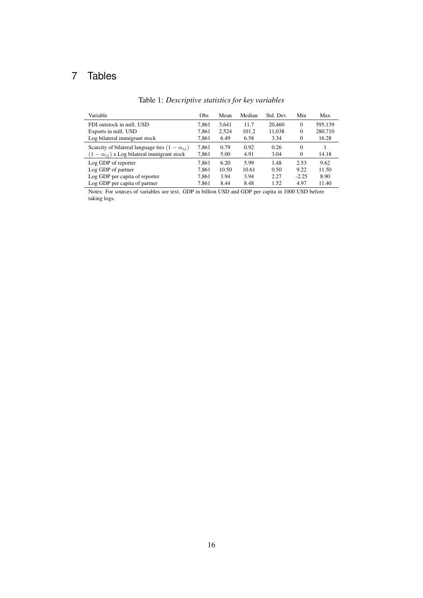## <span id="page-18-0"></span>7 Tables

| Variable                                                | Obs   | Mean  | Median | Std. Dev. | Min      | Max     |
|---------------------------------------------------------|-------|-------|--------|-----------|----------|---------|
| FDI outstock in mill. USD                               | 7.861 | 3.641 | 11.7   | 20,460    | $\Omega$ | 595,139 |
| Exports in mill. USD                                    | 7.861 | 2.524 | 101.2  | 11,038    | $\theta$ | 280,710 |
| Log bilateral immigrant stock                           | 7.861 | 6.49  | 6.58   | 3.34      | $\Omega$ | 16.28   |
| Scarcity of bilateral language ties $(1 - \alpha_{ij})$ | 7.861 | 0.79  | 0.92   | 0.26      | $\Omega$ |         |
| $(1 - \alpha_{ij})$ x Log bilateral immigrant stock     | 7,861 | 5.00  | 4.91   | 3.04      | $\Omega$ | 14.18   |
| Log GDP of reporter                                     | 7.861 | 6.20  | 5.99   | 1.48      | 2.53     | 9.62    |
| Log GDP of partner                                      | 7.861 | 10.50 | 10.61  | 0.50      | 9.22     | 11.50   |
| Log GDP per capita of reporter                          | 7.861 | 3.94  | 3.94   | 2.27      | $-2.25$  | 8.90    |
| Log GDP per capita of partner                           | 7,861 | 8.44  | 8.48   | 1.52      | 4.97     | 11.40   |

## Table 1: *Descriptive statistics for key variables*

Notes: For sources of variables see text. GDP in billion USD and GDP per capita in 1000 USD before taking logs.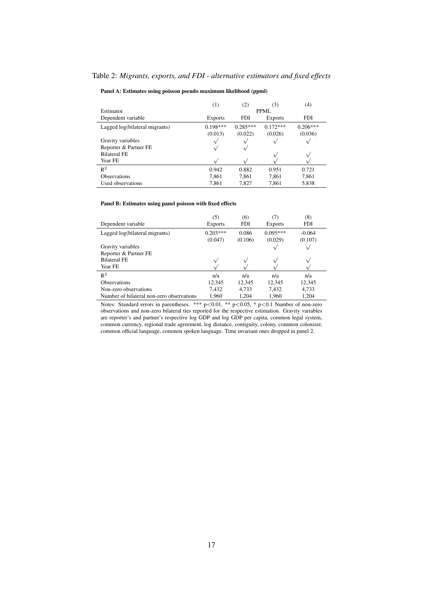#### <span id="page-19-0"></span>Table 2: *Migrants, exports, and FDI - alternative estimators and fixed effects*

#### Panel A: Estimates using poisson pseudo maximum likelihood (ppml)

|                                | (1)            | (2)        | (3)            | (4)        |  |  |  |  |
|--------------------------------|----------------|------------|----------------|------------|--|--|--|--|
| Estimator                      |                | PPML       |                |            |  |  |  |  |
| Dependent variable             | <b>Exports</b> | FDI        | <b>Exports</b> | <b>FDI</b> |  |  |  |  |
| Lagged log(bilateral migrants) | $0.198***$     | $0.285***$ | $0.172***$     | $0.206***$ |  |  |  |  |
|                                | (0.013)        | (0.022)    | (0.026)        | (0.036)    |  |  |  |  |
| Gravity variables              |                |            |                |            |  |  |  |  |
| Reporter & Partner FE          |                | ν          |                |            |  |  |  |  |
| <b>Bilateral FE</b>            |                |            |                |            |  |  |  |  |
| Year FE                        |                |            |                |            |  |  |  |  |
| $R^2$                          | 0.942          | 0.882      | 0.951          | 0.721      |  |  |  |  |
| <b>Observations</b>            | 7,861          | 7,861      | 7,861          | 7,861      |  |  |  |  |
| Used observations              | 7,861          | 7,827      | 7,861          | 5,838      |  |  |  |  |

#### Panel B: Estimates using panel poisson with fixed effects

|                                           | (5)                   | (6)              | (7)                   | (8)                 |
|-------------------------------------------|-----------------------|------------------|-----------------------|---------------------|
| Dependent variable                        | <b>Exports</b>        | <b>FDI</b>       | <b>Exports</b>        | <b>FDI</b>          |
| Lagged log(bilateral migrants)            | $0.203***$<br>(0.047) | 0.086<br>(0.106) | $0.095***$<br>(0.029) | $-0.064$<br>(0.107) |
| Gravity variables                         |                       |                  |                       |                     |
| Reporter & Partner FE                     |                       |                  |                       |                     |
| <b>Bilateral FE</b>                       |                       |                  |                       |                     |
| Year FE                                   |                       |                  |                       |                     |
| $R^2$                                     | n/a                   | n/a              | n/a                   | n/a                 |
| <b>Observations</b>                       | 12,345                | 12,345           | 12,345                | 12,345              |
| Non-zero observations                     | 7.432                 | 4,733            | 7.432                 | 4,733               |
| Number of bilateral non-zero observations | 1.960                 | 1.204            | 1.960                 | 1.204               |

Notes: Standard errors in parentheses. \*\*\*  $p<0.01$ , \*\*  $p<0.05$ , \*  $p<0.1$  Number of non-zero observations and non-zero bilateral ties reported for the respective estimation. Gravity variables are reporter's and partner's respective log GDP and log GDP per capita, common legal system, common currency, regional trade agreement, log distance, contiguity, colony, common colonizer, common official language, common spoken language. Time invariant ones dropped in panel 2.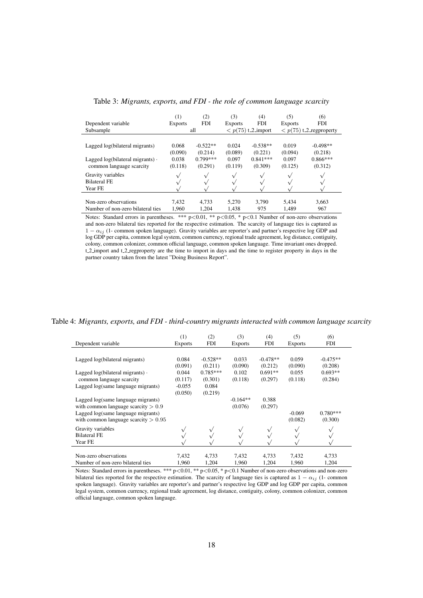|                                          | (1)            | (2)          | (3)         | (4)                        | (5)          | (6)                             |
|------------------------------------------|----------------|--------------|-------------|----------------------------|--------------|---------------------------------|
| Dependent variable                       | <b>Exports</b> | <b>FDI</b>   | Exports     | <b>FDI</b>                 | Exports      | <b>FDI</b>                      |
| Subsample                                |                | all          |             | $\langle p(75) t_2$ import |              | $\langle p(75)$ t_2_regproperty |
|                                          |                |              |             |                            |              |                                 |
| Lagged log(bilateral migrants)           | 0.068          | $-0.522**$   | 0.024       | $-0.538**$                 | 0.019        | $-0.498**$                      |
|                                          | (0.090)        | (0.214)      | (0.089)     | (0.221)                    | (0.094)      | (0.218)                         |
| Lagged $log(bilateral$ migrants) $\cdot$ | 0.038          | $0.799***$   | 0.097       | $0.841***$                 | 0.097        | $0.866***$                      |
| common language scarcity                 | (0.118)        | (0.291)      | (0.119)     | (0.309)                    | (0.125)      | (0.312)                         |
| Gravity variables                        |                | $\checkmark$ | $\check{ }$ | $\sqrt{}$                  | $\checkmark$ |                                 |
| <b>Bilateral FE</b>                      |                |              |             |                            |              |                                 |
| Year FE                                  |                |              |             |                            |              |                                 |
|                                          |                |              |             |                            |              |                                 |
| Non-zero observations                    | 7.432          | 4.733        | 5.270       | 3.790                      | 5.434        | 3,663                           |
| Number of non-zero bilateral ties        | 1.960          | 1.204        | 1.438       | 975                        | 1.489        | 967                             |

<span id="page-20-0"></span>Table 3: *Migrants, exports, and FDI - the role of common language scarcity*

Notes: Standard errors in parentheses. \*\*\* p<0.01, \*\* p<0.05, \* p<0.1 Number of non-zero observations and non-zero bilateral ties reported for the respective estimation. The scarcity of language ties is captured as  $1 - \alpha_{ij}$  (1- common spoken language). Gravity variables are reporter's and partner's respective log GDP and log GDP per capita, common legal system, common currency, regional trade agreement, log distance, contiguity, colony, common colonizer, common official language, common spoken language. Time invariant ones dropped. t.2. import and t.2. regproperty are the time to import in days and the time to register property in days in the partner country taken from the latest "Doing Business Report".

Table 4: *Migrants, exports, and FDI - third-country migrants interacted with common language scarcity*

<span id="page-20-1"></span>

| Dependent variable                     | (1)<br><b>Exports</b> | (2)<br><b>FDI</b> | (3)<br><b>Exports</b> | (4)<br><b>FDI</b> | (5)<br><b>Exports</b> | (6)<br><b>FDI</b> |
|----------------------------------------|-----------------------|-------------------|-----------------------|-------------------|-----------------------|-------------------|
|                                        |                       |                   |                       |                   |                       |                   |
| Lagged log(bilateral migrants)         | 0.084                 | $-0.528**$        | 0.033                 | $-0.478**$        | 0.059                 | $-0.475**$        |
|                                        | (0.091)               | (0.211)           | (0.090)               | (0.212)           | (0.090)               | (0.208)           |
| Lagged $log(bilateral$ migrants).      | 0.044                 | $0.785***$        | 0.102                 | $0.691**$         | 0.055                 | $0.693**$         |
| common language scarcity               | (0.117)               | (0.301)           | (0.118)               | (0.297)           | (0.118)               | (0.284)           |
| Lagged log(same language migrants)     | $-0.055$              | 0.084             |                       |                   |                       |                   |
|                                        | (0.050)               | (0.219)           |                       |                   |                       |                   |
| Lagged log(same language migrants)     |                       |                   | $-0.164**$            | 0.388             |                       |                   |
| with common language scarcity $> 0.9$  |                       |                   | (0.076)               | (0.297)           |                       |                   |
| Lagged log(same language migrants)     |                       |                   |                       |                   | $-0.069$              | $0.780***$        |
| with common language scarcity $> 0.95$ |                       |                   |                       |                   | (0.082)               | (0.300)           |
| Gravity variables                      |                       | $\sqrt{}$         | $\sqrt{}$             | $\sqrt{ }$        | $\sqrt{}$             |                   |
| <b>Bilateral FE</b>                    |                       |                   |                       | $\sqrt{ }$        |                       |                   |
| Year FE                                |                       |                   |                       |                   |                       |                   |
|                                        |                       |                   |                       |                   |                       |                   |
| Non-zero observations                  | 7,432                 | 4,733             | 7,432                 | 4,733             | 7,432                 | 4,733             |
| Number of non-zero bilateral ties      | 1,960                 | 1,204             | 1,960                 | 1,204             | 1,960                 | 1,204             |

Notes: Standard errors in parentheses. \*\*\* p<0.01, \*\* p<0.05, \* p<0.1 Number of non-zero observations and non-zero bilateral ties reported for the respective estimation. The scarcity of language ties is captured as  $1 - \alpha_{ij}$  (1- common spoken language). Gravity variables are reporter's and partner's respective log GDP and log GDP per capita, common legal system, common currency, regional trade agreement, log distance, contiguity, colony, common colonizer, common official language, common spoken language.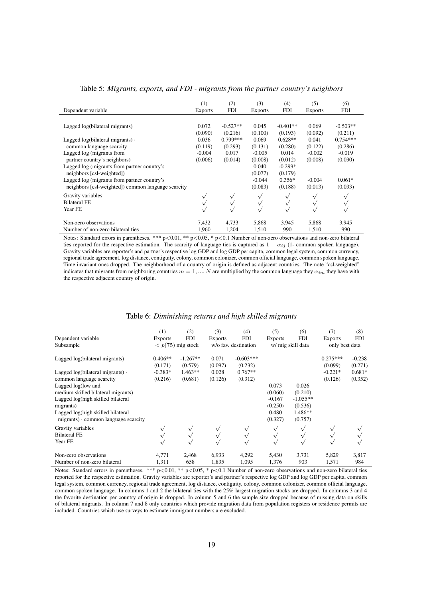| Dependent variable                                                                                | (1)<br><b>Exports</b>       | (2)<br><b>FDI</b>                | (3)<br><b>Exports</b>       | (4)<br><b>FDI</b>               | (5)<br><b>Exports</b>       | (6)<br><b>FDI</b>                |
|---------------------------------------------------------------------------------------------------|-----------------------------|----------------------------------|-----------------------------|---------------------------------|-----------------------------|----------------------------------|
| Lagged log(bilateral migrants)                                                                    | 0.072                       | $-0.527**$                       | 0.045                       | $-0.401**$                      | 0.069                       | $-0.503**$                       |
| Lagged $log(bilateral$ migrants).<br>common language scarcity                                     | (0.090)<br>0.036<br>(0.119) | (0.216)<br>$0.799***$<br>(0.293) | (0.100)<br>0.069<br>(0.131) | (0.193)<br>$0.628**$<br>(0.280) | (0.092)<br>0.041<br>(0.122) | (0.211)<br>$0.754***$<br>(0.286) |
| Lagged log (migrants from<br>partner country's neighbors)                                         | $-0.004$<br>(0.006)         | 0.017<br>(0.014)                 | $-0.005$<br>(0.008)         | 0.014<br>(0.012)                | $-0.002$<br>(0.008)         | $-0.019$<br>(0.030)              |
| Lagged log (migrants from partner country's<br>neighbors [csl-weighted])                          |                             |                                  | 0.040<br>(0.077)            | $-0.299*$<br>(0.179)            |                             |                                  |
| Lagged log (migrants from partner country's<br>neighbors [csl-weighted]) common language scarcity |                             |                                  | $-0.044$<br>(0.083)         | $0.356*$<br>(0.188)             | $-0.004$<br>(0.013)         | $0.061*$<br>(0.033)              |
| Gravity variables<br><b>Bilateral FE</b><br>Year FE                                               |                             | $\check{ }$                      | $\sqrt{}$                   | $\sqrt{}$                       | $\sqrt{}$                   |                                  |
| Non-zero observations<br>Number of non-zero bilateral ties                                        | 7,432<br>1,960              | 4,733<br>1,204                   | 5,868<br>1,510              | 3,945<br>990                    | 5,868<br>1,510              | 3,945<br>990                     |

<span id="page-21-0"></span>Table 5: *Migrants, exports, and FDI - migrants from the partner country's neighbors*

Notes: Standard errors in parentheses. \*\*\*  $p < 0.01$ , \*\*  $p < 0.05$ , \*  $p < 0.1$  Number of non-zero observations and non-zero bilateral ties reported for the respective estimation. The scarcity of language ties is captured as  $1 - \alpha_{ij}$  (1- common spoken language). Gravity variables are reporter's and partner's respective log GDP and log GDP per capita, common legal system, common currency, regional trade agreement, log distance, contiguity, colony, common colonizer, common official language, common spoken language. Time invariant ones dropped. The neighborhood of a country of origin is defined as adjacent countries. The note "csl-weighted" indicates that migrants from neighboring countries  $m = 1, ..., N$  are multiplied by the common language they  $\alpha_{im}$  they have with the respective adjacent country of origin.

#### Table 6: *Diminishing returns and high skilled migrants*

<span id="page-21-1"></span>

|                                                                                    | (1)                  | (2)                       | (3)              | (4)                    | (5)              | (6)                | (7)                   | (8)                 |
|------------------------------------------------------------------------------------|----------------------|---------------------------|------------------|------------------------|------------------|--------------------|-----------------------|---------------------|
| Dependent variable                                                                 | <b>Exports</b>       | <b>FDI</b>                | <b>Exports</b>   | <b>FDI</b>             | <b>Exports</b>   | <b>FDI</b>         | <b>Exports</b>        | <b>FDI</b>          |
| Subsample                                                                          |                      | $\langle p(75)$ mig stock |                  | w/o fav. destination   |                  | w/ mig skill data  | only best data        |                     |
| Lagged log(bilateral migrants)                                                     | $0.406**$<br>(0.171) | $-1.267**$<br>(0.579)     | 0.071<br>(0.097) | $-0.603***$<br>(0.232) |                  |                    | $0.275***$<br>(0.099) | $-0.238$<br>(0.271) |
| Lagged $log(bilateral$ migrants) $\cdot$                                           | $-0.383*$            | $1.463**$                 | 0.028            | $0.767**$              |                  |                    | $-0.221*$             | $0.681*$            |
| common language scarcity                                                           | (0.216)              | (0.681)                   | (0.126)          | (0.312)                |                  |                    | (0.126)               | (0.352)             |
| Lagged log(low and                                                                 |                      |                           |                  |                        | 0.073            | 0.026              |                       |                     |
| medium skilled bilateral migrants)                                                 |                      |                           |                  |                        | (0.060)          | (0.210)            |                       |                     |
| Lagged log(high skilled bilateral                                                  |                      |                           |                  |                        | $-0.167$         | $-1.055**$         |                       |                     |
| migrants)                                                                          |                      |                           |                  |                        | (0.250)          | (0.536)            |                       |                     |
| Lagged log(high skilled bilateral<br>$migrants$ ) $\cdot$ common language scarcity |                      |                           |                  |                        | 0.480<br>(0.327) | 1.486**<br>(0.757) |                       |                     |
| Gravity variables                                                                  |                      | $\sqrt{}$                 | $\checkmark$     |                        | $\checkmark$     | $\checkmark$       |                       |                     |
| <b>Bilateral FE</b>                                                                |                      |                           |                  |                        |                  |                    |                       |                     |
| Year FE                                                                            |                      |                           |                  |                        |                  |                    |                       |                     |
| Non-zero observations                                                              | 4,771                | 2,468                     | 6,933            | 4,292                  | 5,430            | 3,731              | 5,829                 | 3,817               |
| Number of non-zero bilateral                                                       | 1,311                | 658                       | 1,835            | 1,095                  | 1,376            | 903                | 1,571                 | 984                 |

Notes: Standard errors in parentheses. \*\*\*  $p<0.01$ , \*\*  $p<0.05$ , \*  $p<0.1$  Number of non-zero observations and non-zero bilateral ties reported for the respective estimation. Gravity variables are reporter's and partner's respective log GDP and log GDP per capita, common legal system, common currency, regional trade agreement, log distance, contiguity, colony, common colonizer, common official language, common spoken language. In columns 1 and 2 the bilateral ties with the 25% largest migration stocks are dropped. In columns 3 and 4 the favorite destination per country of origin is dropped. In column 5 and 6 the sample size dropped because of missing data on skills of bilateral migrants. In column 7 and 8 only countries which provide migration data from population registers or residence permits are included. Countries which use surveys to estimate immigrant numbers are excluded.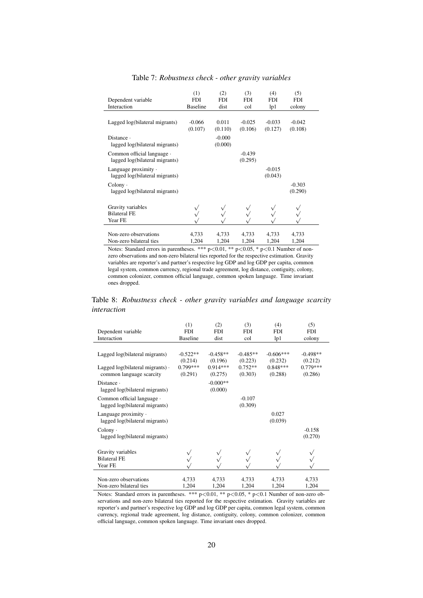<span id="page-22-0"></span>

| Dependent variable<br>Interaction                            | (1)<br><b>FDI</b><br><b>Baseline</b> | (2)<br>FDI<br>dist  | (3)<br><b>FDI</b><br>col | (4)<br><b>FDI</b><br>1p1 | (5)<br><b>FDI</b><br>colony |
|--------------------------------------------------------------|--------------------------------------|---------------------|--------------------------|--------------------------|-----------------------------|
| Lagged log(bilateral migrants)                               | $-0.066$<br>(0.107)                  | 0.011<br>(0.110)    | $-0.025$<br>(0.106)      | $-0.033$<br>(0.127)      | $-0.042$<br>(0.108)         |
| Distance $\cdot$<br>lagged log(bilateral migrants)           |                                      | $-0.000$<br>(0.000) |                          |                          |                             |
| Common official language ·<br>lagged log(bilateral migrants) |                                      |                     | $-0.439$<br>(0.295)      |                          |                             |
| Language proximity $\cdot$<br>lagged log(bilateral migrants) |                                      |                     |                          | $-0.015$<br>(0.043)      |                             |
| $\text{Colony}$ .<br>lagged log(bilateral migrants)          |                                      |                     |                          |                          | $-0.303$<br>(0.290)         |
| Gravity variables<br><b>Bilateral FE</b><br>Year FE          |                                      |                     |                          |                          |                             |
| Non-zero observations<br>Non-zero bilateral ties             | 4,733<br>1,204                       | 4,733<br>1,204      | 4,733<br>1,204           | 4,733<br>1,204           | 4,733<br>1,204              |

Table 7: *Robustness check - other gravity variables*

Notes: Standard errors in parentheses. \*\*\* p<0.01, \*\* p<0.05, \* p<0.1 Number of nonzero observations and non-zero bilateral ties reported for the respective estimation. Gravity variables are reporter's and partner's respective log GDP and log GDP per capita, common legal system, common currency, regional trade agreement, log distance, contiguity, colony, common colonizer, common official language, common spoken language. Time invariant ones dropped.

<span id="page-22-1"></span>Table 8: *Robustness check - other gravity variables and language scarcity interaction*

|                                                              | (1)             | (2)        | (3)        | (4)         | (5)        |
|--------------------------------------------------------------|-----------------|------------|------------|-------------|------------|
| Dependent variable                                           | FDI             | <b>FDI</b> | <b>FDI</b> | <b>FDI</b>  | <b>FDI</b> |
| Interaction                                                  | <b>Baseline</b> | dist       | col        | lp1         | colony     |
|                                                              |                 |            |            |             |            |
| Lagged log(bilateral migrants)                               | $-0.522**$      | $-0.458**$ | $-0.485**$ | $-0.606***$ | $-0.498**$ |
|                                                              | (0.214)         | (0.196)    | (0.223)    | (0.232)     | (0.212)    |
| Lagged $log(bilateral$ migrants).                            | $0.799***$      | $0.914***$ | $0.752**$  | $0.848***$  | $0.779***$ |
| common language scarcity                                     | (0.291)         | (0.275)    | (0.303)    | (0.288)     | (0.286)    |
| Distance $\cdot$                                             |                 | $-0.000**$ |            |             |            |
| lagged log(bilateral migrants)                               |                 | (0.000)    |            |             |            |
| Common official language ·                                   |                 |            | $-0.107$   |             |            |
| lagged log(bilateral migrants)                               |                 |            | (0.309)    |             |            |
|                                                              |                 |            |            | 0.027       |            |
| Language proximity $\cdot$<br>lagged log(bilateral migrants) |                 |            |            | (0.039)     |            |
|                                                              |                 |            |            |             |            |
| $\text{Colony} \cdot$                                        |                 |            |            |             | $-0.158$   |
| lagged log(bilateral migrants)                               |                 |            |            |             | (0.270)    |
|                                                              |                 |            |            |             |            |
| Gravity variables                                            |                 |            |            |             |            |
| <b>Bilateral FE</b>                                          |                 |            |            |             |            |
| Year FE                                                      |                 |            |            |             |            |
|                                                              |                 |            |            |             |            |
| Non-zero observations                                        | 4,733           | 4,733      | 4,733      | 4,733       | 4,733      |
| Non-zero bilateral ties                                      | 1,204           | 1,204      | 1,204      | 1,204       | 1,204      |

Notes: Standard errors in parentheses. \*\*\*  $p<0.01$ , \*\*  $p<0.05$ , \*  $p<0.1$  Number of non-zero observations and non-zero bilateral ties reported for the respective estimation. Gravity variables are reporter's and partner's respective log GDP and log GDP per capita, common legal system, common currency, regional trade agreement, log distance, contiguity, colony, common colonizer, common official language, common spoken language. Time invariant ones dropped.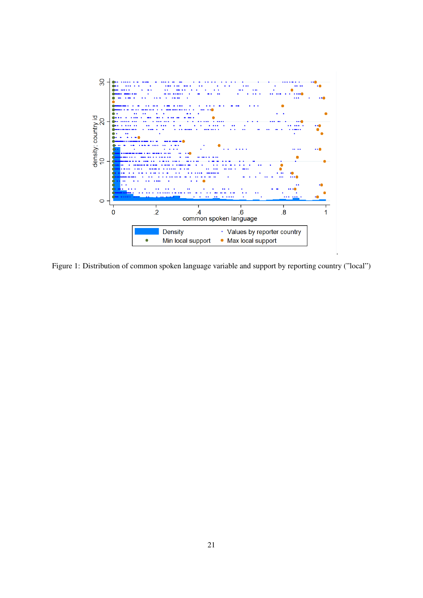<span id="page-23-0"></span>

Figure 1: Distribution of common spoken language variable and support by reporting country ("local")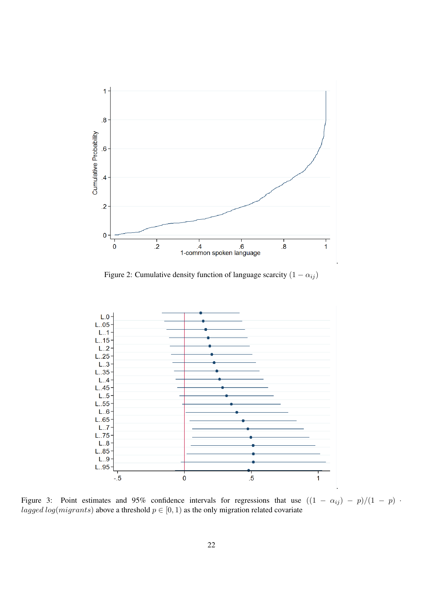<span id="page-24-0"></span>

Figure 2: Cumulative density function of language scarcity  $(1 - \alpha_{ij})$ 

<span id="page-24-1"></span>

Figure 3: Point estimates and 95% confidence intervals for regressions that use  $((1 - \alpha_{ij}) - p)/(1 - p)$ . lagged log(migrants) above a threshold  $p \in [0, 1)$  as the only migration related covariate